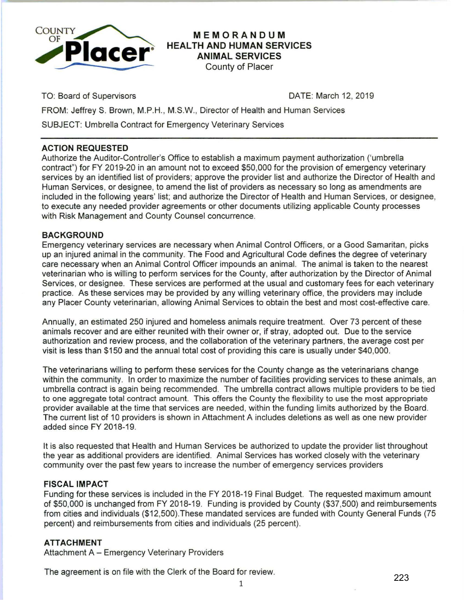

**MEMORANDUM HEALTH AND HUMAN SERVICES ANIMAL SERVICES** 

County of Placer

TO: Board of Supervisors

DATE: March 12, 2019

FROM: Jeffrey S. Brown, M.P.H., M.S.W., Director of Health and Human Services

SUBJECT: Umbrella Contract for Emergency Veterinary Services

# **ACTION REQUESTED**

Authorize the Auditor-Controller's Office to establish a maximum payment authorization ('umbrella contract") for FY 2019-20 in an amount not to exceed \$50,000 for the provision of emergency veterinary services by an identified list of providers; approve the provider list and authorize the Director of Health and Human Services, or designee, to amend the list of providers as necessary so long as amendments are included in the following years' list; and authorize the Director of Health and Human Services, or designee, to execute any needed provider agreements or other documents utilizing applicable County processes with Risk Management and County Counsel concurrence.

## **BACKGROUND**

Emergency veterinary services are necessary when Animal Control Officers, or a Good Samaritan, picks up an injured animal in the community. The Food and Agricultural Code defines the degree of veterinary care necessary when an Animal Control Officer impounds an animal. The animal is taken to the nearest veterinarian who is willing to perform services for the County, after authorization by the Director of Animal Services, or designee. These services are performed at the usual and customary fees for each veterinary practice. As these services may be provided by any willing veterinary office, the providers may include any Placer County veterinarian, allowing Animal Services to obtain the best and most cost-effective care.

Annually, an estimated 250 injured and homeless animals require treatment. Over 73 percent of these animals recover and are either reunited with their owner or, if stray, adopted out. Due to the service authorization and review process, and the collaboration of the veterinary partners, the average cost per visit is less than \$150 and the annual total cost of providing this care is usually under \$40,000.

The veterinarians willing to perform these services for the County change as the veterinarians change within the community. In order to maximize the number of facilities providing services to these animals, an umbrella contract is again being recommended. The umbrella contract allows multiple providers to be tied to one aggregate total contract amount. This offers the County the flexibility to use the most appropriate provider available at the time that services are needed, within the funding limits authorized by the Board. The current list of 10 providers is shown in Attachment A includes deletions as well as one new provider added since FY 2018-19.

It is also requested that Health and Human Services be authorized to update the provider list throughout the year as additional providers are identified. Animal Services has worked closely with the veterinary community over the past few years to increase the number of emergency services providers

### **FISCAL IMPACT**

Funding for these services is included in the FY 2018-19 Final Budget. The requested maximum amount of \$50,000 is unchanged from FY 2018-19. Funding is provided by County (\$37,500) and reimbursements from cities and individuals (\$12,500).These mandated services are funded with County General Funds (75 percent) and reimbursements from cities and individuals (25 percent).

### **ATTACHMENT**

Attachment A - Emergency Veterinary Providers

The agreement is on file with the Clerk of the Board for review.